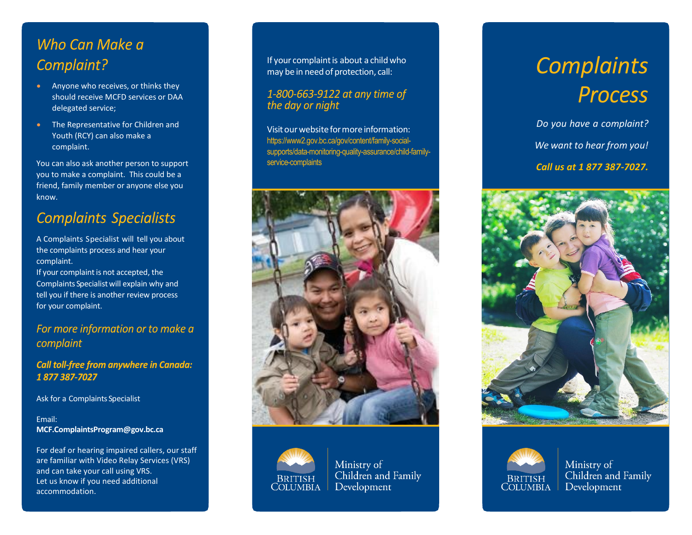# Who Can Make a Complaint?

- Anyone who receives, or thinks they should receive MCFD services or DAA delegated service;
- The Representative for Children and Youth (RCY) can also make a complaint.

You can also ask another person to support you to make a complaint. This could be a friend, family member or anyone else you know.

# **Complaints Specialists**

A Complaints Specialist will tell you about the complaints process and hear your complaint.

If your complaint is not accepted, the Complaints Specialistwill explain why and tell you if there is another review process for your complaint.

## For more information or to make a complaint

**Call toll-free from anywhere in Canada:** 1877387-7027

Ask for a Complaints Specialist

#### Email: **[MCF.ComplaintsProgram@gov.bc.ca](mailto:MCF.ComplaintsProgram@gov.bc.ca)**

For deaf or hearing impaired callers, our staff are familiar with Video Relay Services (VRS) and can take your call using VRS. Let us know if you need additional accommodation.

If your complaint is about a child who may be in need of protection, call:

## 1-800-663-9122 at any time of the day or night

Visitourwebsiteformoreinformation: [https://www2.gov.bc.ca/gov/content/family-social](https://www2.gov.bc.ca/gov/content/family-social-supports/data-monitoring-quality-assurance/child-family-service-complaints)[supports/data-monitoring-quality-assurance/child-family](https://www2.gov.bc.ca/gov/content/family-social-supports/data-monitoring-quality-assurance/child-family-service-complaints)[service-complaints](https://www2.gov.bc.ca/gov/content/family-social-supports/data-monitoring-quality-assurance/child-family-service-complaints)





Ministry of Children and Family Development

# *Complaints Process*

*Do you have a complaint? We want to hear from you! Call us at 1 877 387-7027.*





Ministry of Children and Family Development